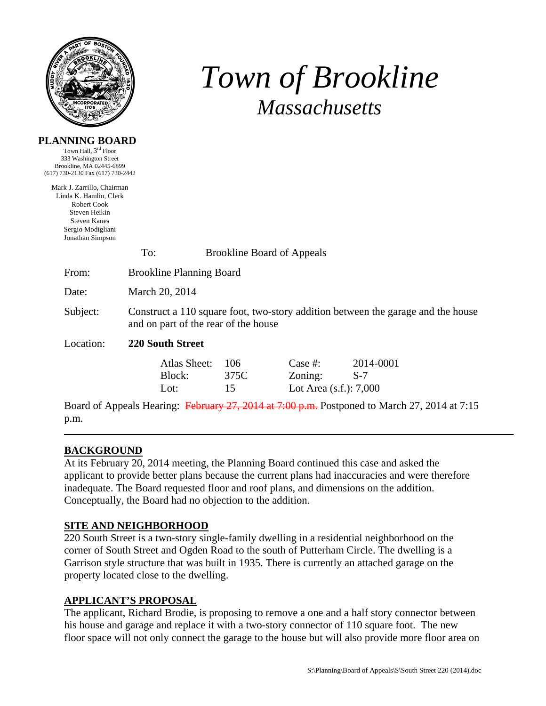

**PLANNING BOARD**  Town Hall, 3<sup>rd</sup> Floor

# *Town of Brookline Massachusetts*

| 333 Washington Street<br>Brookline, MA 02445-6899<br>(617) 730-2130 Fax (617) 730-2442                                                               |                                                                                                                          |                   |                                                    |                    |  |  |  |
|------------------------------------------------------------------------------------------------------------------------------------------------------|--------------------------------------------------------------------------------------------------------------------------|-------------------|----------------------------------------------------|--------------------|--|--|--|
| Mark J. Zarrillo, Chairman<br>Linda K. Hamlin, Clerk<br>Robert Cook<br>Steven Heikin<br><b>Steven Kanes</b><br>Sergio Modigliani<br>Jonathan Simpson |                                                                                                                          |                   |                                                    |                    |  |  |  |
|                                                                                                                                                      | To:<br><b>Brookline Board of Appeals</b>                                                                                 |                   |                                                    |                    |  |  |  |
| From:                                                                                                                                                | <b>Brookline Planning Board</b>                                                                                          |                   |                                                    |                    |  |  |  |
| Date:                                                                                                                                                | March 20, 2014                                                                                                           |                   |                                                    |                    |  |  |  |
| Subject:                                                                                                                                             | Construct a 110 square foot, two-story addition between the garage and the house<br>and on part of the rear of the house |                   |                                                    |                    |  |  |  |
| Location:                                                                                                                                            | <b>220 South Street</b>                                                                                                  |                   |                                                    |                    |  |  |  |
|                                                                                                                                                      | Atlas Sheet:<br>Block:<br>Lot:                                                                                           | 106<br>375C<br>15 | Case $#$ :<br>Zoning:<br>Lot Area $(s.f.)$ : 7,000 | 2014-0001<br>$S-7$ |  |  |  |
| p.m.                                                                                                                                                 | Board of Appeals Hearing: February 27, 2014 at 7:00 p.m. Postponed to March 27, 2014 at 7:15                             |                   |                                                    |                    |  |  |  |

# **BACKGROUND**

At its February 20, 2014 meeting, the Planning Board continued this case and asked the applicant to provide better plans because the current plans had inaccuracies and were therefore inadequate. The Board requested floor and roof plans, and dimensions on the addition. Conceptually, the Board had no objection to the addition.

# **SITE AND NEIGHBORHOOD**

220 South Street is a two-story single-family dwelling in a residential neighborhood on the corner of South Street and Ogden Road to the south of Putterham Circle. The dwelling is a Garrison style structure that was built in 1935. There is currently an attached garage on the property located close to the dwelling.

#### **APPLICANT'S PROPOSAL**

The applicant, Richard Brodie, is proposing to remove a one and a half story connector between his house and garage and replace it with a two-story connector of 110 square foot. The new floor space will not only connect the garage to the house but will also provide more floor area on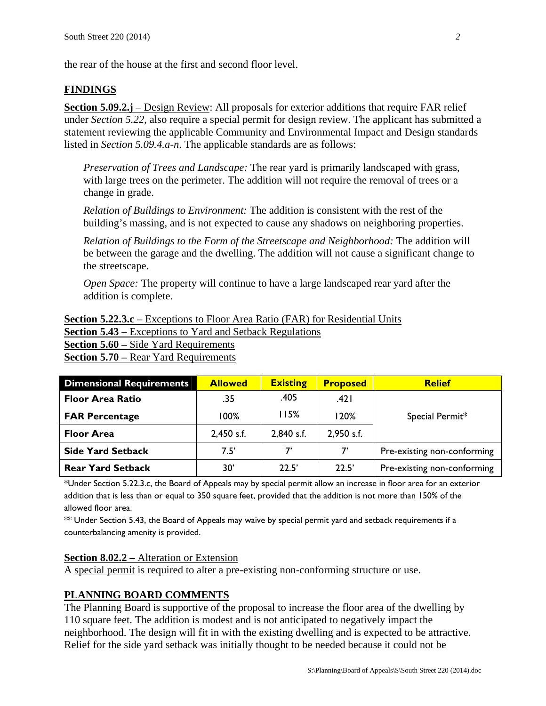the rear of the house at the first and second floor level.

#### **FINDINGS**

**Section 5.09.2.j** – Design Review: All proposals for exterior additions that require FAR relief under *Section 5.22*, also require a special permit for design review. The applicant has submitted a statement reviewing the applicable Community and Environmental Impact and Design standards listed in *Section 5.09.4.a-n*. The applicable standards are as follows:

*Preservation of Trees and Landscape:* The rear yard is primarily landscaped with grass, with large trees on the perimeter. The addition will not require the removal of trees or a change in grade.

*Relation of Buildings to Environment:* The addition is consistent with the rest of the building's massing, and is not expected to cause any shadows on neighboring properties.

*Relation of Buildings to the Form of the Streetscape and Neighborhood:* The addition will be between the garage and the dwelling. The addition will not cause a significant change to the streetscape.

*Open Space:* The property will continue to have a large landscaped rear yard after the addition is complete.

**Section 5.22.3.c** – Exceptions to Floor Area Ratio (FAR) for Residential Units **Section 5.43** – Exceptions to Yard and Setback Regulations **Section 5.60 –** Side Yard Requirements **<u>Section 5.70 – Rear Yard Requirements</u>** 

| <b>Dimensional Requirements</b> | <b>Allowed</b> | <b>Existing</b> | <b>Proposed</b> | <b>Relief</b>               |  |
|---------------------------------|----------------|-----------------|-----------------|-----------------------------|--|
| <b>Floor Area Ratio</b>         | .35            | .405            | .421            |                             |  |
| <b>FAR Percentage</b>           | 100%           | 115%            | 120%            | Special Permit*             |  |
| <b>Floor Area</b>               | $2,450$ s.f.   | 2,840 s.f.      | 2,950 s.f.      |                             |  |
| <b>Side Yard Setback</b>        | 7.5'           | 7'              | 7'              | Pre-existing non-conforming |  |
| <b>Rear Yard Setback</b>        | 30'            | 22.5'           | 22.5'           | Pre-existing non-conforming |  |

\*Under Section 5.22.3.c, the Board of Appeals may by special permit allow an increase in floor area for an exterior addition that is less than or equal to 350 square feet, provided that the addition is not more than 150% of the allowed floor area.

\*\* Under Section 5.43, the Board of Appeals may waive by special permit yard and setback requirements if a counterbalancing amenity is provided.

#### **Section 8.02.2 –** Alteration or Extension

A special permit is required to alter a pre-existing non-conforming structure or use.

#### **PLANNING BOARD COMMENTS**

The Planning Board is supportive of the proposal to increase the floor area of the dwelling by 110 square feet. The addition is modest and is not anticipated to negatively impact the neighborhood. The design will fit in with the existing dwelling and is expected to be attractive. Relief for the side yard setback was initially thought to be needed because it could not be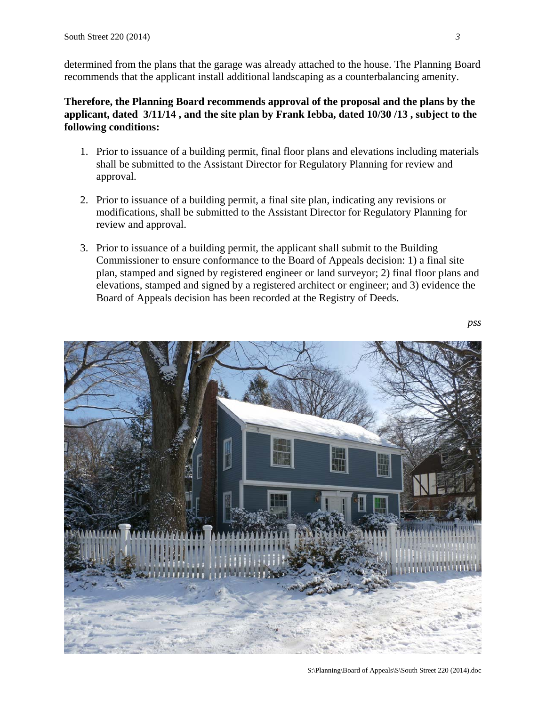determined from the plans that the garage was already attached to the house. The Planning Board recommends that the applicant install additional landscaping as a counterbalancing amenity.

### **Therefore, the Planning Board recommends approval of the proposal and the plans by the applicant, dated 3/11/14 , and the site plan by Frank Iebba, dated 10/30 /13 , subject to the following conditions:**

- 1. Prior to issuance of a building permit, final floor plans and elevations including materials shall be submitted to the Assistant Director for Regulatory Planning for review and approval.
- 2. Prior to issuance of a building permit, a final site plan, indicating any revisions or modifications, shall be submitted to the Assistant Director for Regulatory Planning for review and approval.
- 3. Prior to issuance of a building permit, the applicant shall submit to the Building Commissioner to ensure conformance to the Board of Appeals decision: 1) a final site plan, stamped and signed by registered engineer or land surveyor; 2) final floor plans and elevations, stamped and signed by a registered architect or engineer; and 3) evidence the Board of Appeals decision has been recorded at the Registry of Deeds.

 *pss* 

S:\Planning\Board of Appeals\S\South Street 220 (2014).doc